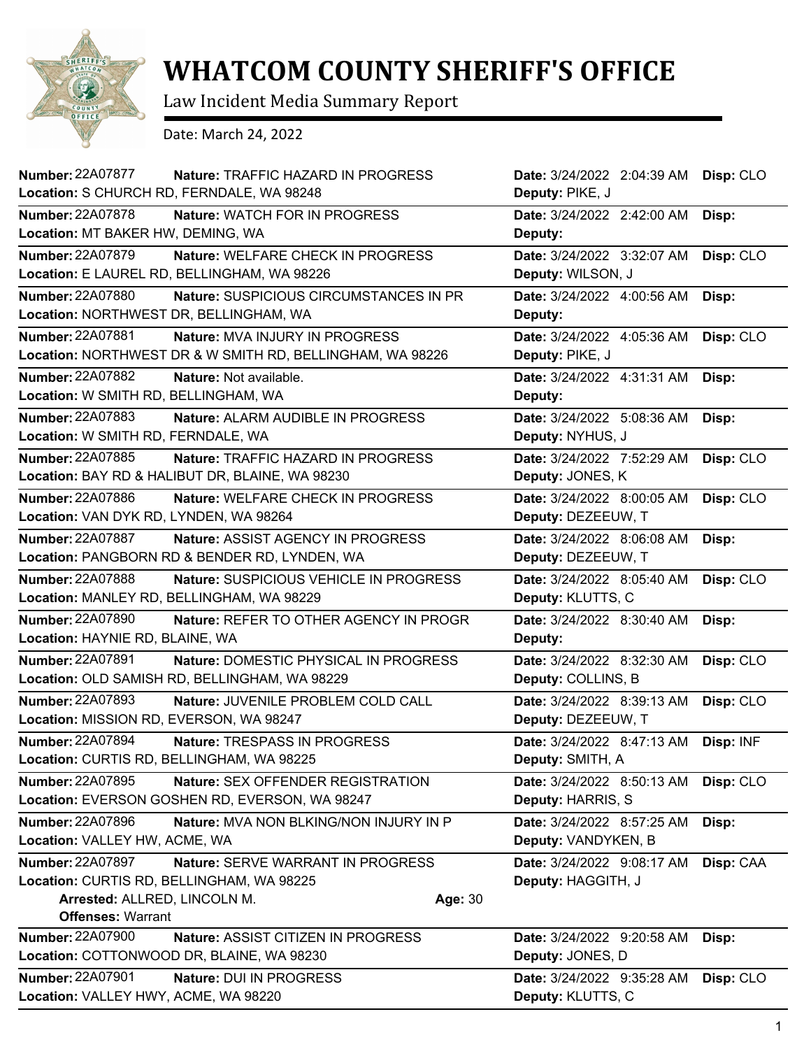

## **WHATCOM COUNTY SHERIFF'S OFFICE**

Law Incident Media Summary Report

Date: March 24, 2022

| Number: 22A07877<br>Nature: TRAFFIC HAZARD IN PROGRESS            | Date: 3/24/2022 2:04:39 AM | Disp: CLO |
|-------------------------------------------------------------------|----------------------------|-----------|
| Location: S CHURCH RD, FERNDALE, WA 98248                         | Deputy: PIKE, J            |           |
| <b>Number: 22A07878</b><br>Nature: WATCH FOR IN PROGRESS          | Date: 3/24/2022 2:42:00 AM | Disp:     |
| Location: MT BAKER HW, DEMING, WA                                 | Deputy:                    |           |
| Number: 22A07879<br>Nature: WELFARE CHECK IN PROGRESS             | Date: 3/24/2022 3:32:07 AM | Disp: CLO |
| Location: E LAUREL RD, BELLINGHAM, WA 98226                       | Deputy: WILSON, J          |           |
| <b>Number: 22A07880</b><br>Nature: SUSPICIOUS CIRCUMSTANCES IN PR | Date: 3/24/2022 4:00:56 AM | Disp:     |
| Location: NORTHWEST DR, BELLINGHAM, WA                            | Deputy:                    |           |
| <b>Number: 22A07881</b><br><b>Nature: MVA INJURY IN PROGRESS</b>  | Date: 3/24/2022 4:05:36 AM | Disp: CLO |
| Location: NORTHWEST DR & W SMITH RD, BELLINGHAM, WA 98226         | Deputy: PIKE, J            |           |
| Number: 22A07882<br>Nature: Not available.                        | Date: 3/24/2022 4:31:31 AM | Disp:     |
| Location: W SMITH RD, BELLINGHAM, WA                              | Deputy:                    |           |
| <b>Number: 22A07883</b><br>Nature: ALARM AUDIBLE IN PROGRESS      | Date: 3/24/2022 5:08:36 AM | Disp:     |
| Location: W SMITH RD, FERNDALE, WA                                | Deputy: NYHUS, J           |           |
| <b>Number: 22A07885</b><br>Nature: TRAFFIC HAZARD IN PROGRESS     | Date: 3/24/2022 7:52:29 AM | Disp: CLO |
| Location: BAY RD & HALIBUT DR, BLAINE, WA 98230                   | Deputy: JONES, K           |           |
| Number: 22A07886<br>Nature: WELFARE CHECK IN PROGRESS             | Date: 3/24/2022 8:00:05 AM | Disp: CLO |
| Location: VAN DYK RD, LYNDEN, WA 98264                            | Deputy: DEZEEUW, T         |           |
| <b>Number: 22A07887</b><br>Nature: ASSIST AGENCY IN PROGRESS      | Date: 3/24/2022 8:06:08 AM | Disp:     |
| Location: PANGBORN RD & BENDER RD, LYNDEN, WA                     | Deputy: DEZEEUW, T         |           |
| Number: 22A07888<br>Nature: SUSPICIOUS VEHICLE IN PROGRESS        | Date: 3/24/2022 8:05:40 AM | Disp: CLO |
| Location: MANLEY RD, BELLINGHAM, WA 98229                         | Deputy: KLUTTS, C          |           |
| <b>Number: 22A07890</b><br>Nature: REFER TO OTHER AGENCY IN PROGR | Date: 3/24/2022 8:30:40 AM | Disp:     |
| Location: HAYNIE RD, BLAINE, WA                                   | Deputy:                    |           |
| Number: 22A07891<br>Nature: DOMESTIC PHYSICAL IN PROGRESS         | Date: 3/24/2022 8:32:30 AM | Disp: CLO |
| Location: OLD SAMISH RD, BELLINGHAM, WA 98229                     | Deputy: COLLINS, B         |           |
| Number: 22A07893<br>Nature: JUVENILE PROBLEM COLD CALL            | Date: 3/24/2022 8:39:13 AM | Disp: CLO |
| Location: MISSION RD, EVERSON, WA 98247                           | Deputy: DEZEEUW, T         |           |
| Number: 22A07894<br>Nature: TRESPASS IN PROGRESS                  | Date: 3/24/2022 8:47:13 AM | Disp: INF |
| Location: CURTIS RD, BELLINGHAM, WA 98225                         | Deputy: SMITH, A           |           |
| Number: 22A07895<br>Nature: SEX OFFENDER REGISTRATION             | Date: 3/24/2022 8:50:13 AM | Disp: CLO |
| Location: EVERSON GOSHEN RD, EVERSON, WA 98247                    | Deputy: HARRIS, S          |           |
| Number: 22A07896<br>Nature: MVA NON BLKING/NON INJURY IN P        | Date: 3/24/2022 8:57:25 AM | Disp:     |
| Location: VALLEY HW, ACME, WA                                     | Deputy: VANDYKEN, B        |           |
| <b>Number: 22A07897</b><br>Nature: SERVE WARRANT IN PROGRESS      | Date: 3/24/2022 9:08:17 AM | Disp: CAA |
| Location: CURTIS RD, BELLINGHAM, WA 98225                         | Deputy: HAGGITH, J         |           |
| Arrested: ALLRED, LINCOLN M.<br>Age: 30                           |                            |           |
| <b>Offenses: Warrant</b>                                          |                            |           |
| <b>Number: 22A07900</b><br>Nature: ASSIST CITIZEN IN PROGRESS     | Date: 3/24/2022 9:20:58 AM | Disp:     |
| Location: COTTONWOOD DR, BLAINE, WA 98230                         | Deputy: JONES, D           |           |
| Number: 22A07901<br>Nature: DUI IN PROGRESS                       | Date: 3/24/2022 9:35:28 AM | Disp: CLO |
| Location: VALLEY HWY, ACME, WA 98220                              | Deputy: KLUTTS, C          |           |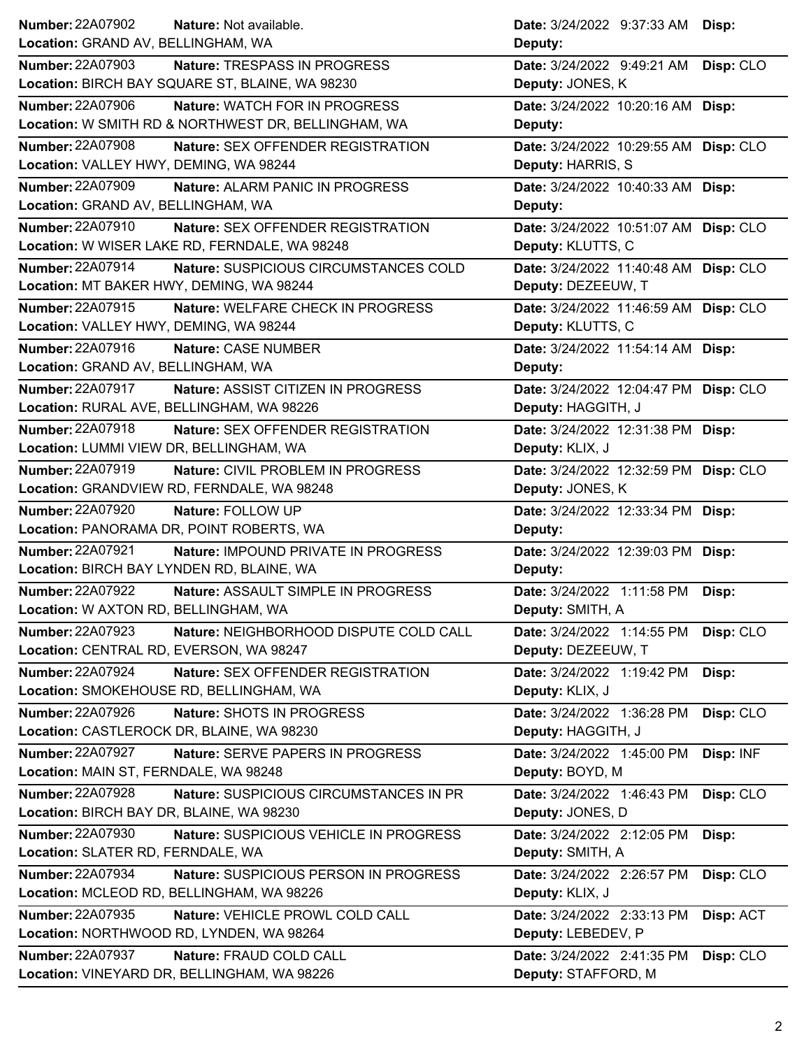| <b>Number: 22A07902</b>                   | Nature: Not available.                                                 | Date: 3/24/2022 9:37:33 AM Disp:                  |           |
|-------------------------------------------|------------------------------------------------------------------------|---------------------------------------------------|-----------|
| Location: GRAND AV, BELLINGHAM, WA        |                                                                        | Deputy:                                           |           |
| <b>Number: 22A07903</b>                   | Nature: TRESPASS IN PROGRESS                                           | Date: 3/24/2022 9:49:21 AM                        | Disp: CLO |
|                                           | Location: BIRCH BAY SQUARE ST, BLAINE, WA 98230                        | Deputy: JONES, K                                  |           |
| <b>Number: 22A07906</b>                   | Nature: WATCH FOR IN PROGRESS                                          | Date: 3/24/2022 10:20:16 AM Disp:                 |           |
|                                           | Location: W SMITH RD & NORTHWEST DR, BELLINGHAM, WA                    | Deputy:                                           |           |
| <b>Number: 22A07908</b>                   | Nature: SEX OFFENDER REGISTRATION                                      | Date: 3/24/2022 10:29:55 AM Disp: CLO             |           |
| Location: VALLEY HWY, DEMING, WA 98244    |                                                                        | Deputy: HARRIS, S                                 |           |
| <b>Number: 22A07909</b>                   | Nature: ALARM PANIC IN PROGRESS                                        | Date: 3/24/2022 10:40:33 AM Disp:                 |           |
| Location: GRAND AV, BELLINGHAM, WA        |                                                                        | Deputy:                                           |           |
| Number: 22A07910                          | Nature: SEX OFFENDER REGISTRATION                                      | Date: 3/24/2022 10:51:07 AM Disp: CLO             |           |
|                                           | Location: W WISER LAKE RD, FERNDALE, WA 98248                          | Deputy: KLUTTS, C                                 |           |
| Number: 22A07914                          | Nature: SUSPICIOUS CIRCUMSTANCES COLD                                  | Date: 3/24/2022 11:40:48 AM Disp: CLO             |           |
| Location: MT BAKER HWY, DEMING, WA 98244  |                                                                        | Deputy: DEZEEUW, T                                |           |
| Number: 22A07915                          | Nature: WELFARE CHECK IN PROGRESS                                      | Date: 3/24/2022 11:46:59 AM Disp: CLO             |           |
| Location: VALLEY HWY, DEMING, WA 98244    |                                                                        | Deputy: KLUTTS, C                                 |           |
| Number: 22A07916                          | Nature: CASE NUMBER                                                    | Date: 3/24/2022 11:54:14 AM Disp:                 |           |
| Location: GRAND AV, BELLINGHAM, WA        |                                                                        | Deputy:                                           |           |
| Number: 22A07917                          | Nature: ASSIST CITIZEN IN PROGRESS                                     | Date: 3/24/2022 12:04:47 PM Disp: CLO             |           |
| Location: RURAL AVE, BELLINGHAM, WA 98226 |                                                                        | Deputy: HAGGITH, J                                |           |
| Number: 22A07918                          | Nature: SEX OFFENDER REGISTRATION                                      | Date: 3/24/2022 12:31:38 PM Disp:                 |           |
| Location: LUMMI VIEW DR, BELLINGHAM, WA   |                                                                        | Deputy: KLIX, J                                   |           |
| Number: 22A07919                          | Nature: CIVIL PROBLEM IN PROGRESS                                      | Date: 3/24/2022 12:32:59 PM Disp: CLO             |           |
|                                           | Location: GRANDVIEW RD, FERNDALE, WA 98248                             | Deputy: JONES, K                                  |           |
| <b>Number: 22A07920</b>                   | Nature: FOLLOW UP                                                      | Date: 3/24/2022 12:33:34 PM Disp:                 |           |
|                                           |                                                                        |                                                   |           |
|                                           | Location: PANORAMA DR, POINT ROBERTS, WA                               | Deputy:                                           |           |
| <b>Number: 22A07921</b>                   | Nature: IMPOUND PRIVATE IN PROGRESS                                    |                                                   |           |
| Location: BIRCH BAY LYNDEN RD, BLAINE, WA |                                                                        | Date: 3/24/2022 12:39:03 PM Disp:                 |           |
| <b>Number: 22A07922</b>                   |                                                                        | Deputy:                                           |           |
| Location: W AXTON RD, BELLINGHAM, WA      | Nature: ASSAULT SIMPLE IN PROGRESS                                     | Date: 3/24/2022 1:11:58 PM Disp:                  |           |
| <b>Number: 22A07923</b>                   |                                                                        | Deputy: SMITH, A                                  |           |
|                                           | Nature: NEIGHBORHOOD DISPUTE COLD CALL                                 | Date: 3/24/2022 1:14:55 PM                        | Disp: CLO |
| Location: CENTRAL RD, EVERSON, WA 98247   |                                                                        | Deputy: DEZEEUW, T                                |           |
| <b>Number: 22A07924</b>                   | Nature: SEX OFFENDER REGISTRATION                                      | Date: 3/24/2022 1:19:42 PM                        | Disp:     |
| Location: SMOKEHOUSE RD, BELLINGHAM, WA   |                                                                        | Deputy: KLIX, J                                   |           |
| Number: 22A07926                          | Nature: SHOTS IN PROGRESS                                              | Date: 3/24/2022 1:36:28 PM                        | Disp: CLO |
| Location: CASTLEROCK DR, BLAINE, WA 98230 |                                                                        | Deputy: HAGGITH, J                                |           |
| <b>Number: 22A07927</b>                   | Nature: SERVE PAPERS IN PROGRESS                                       | Date: 3/24/2022 1:45:00 PM                        | Disp: INF |
| Location: MAIN ST, FERNDALE, WA 98248     |                                                                        | Deputy: BOYD, M                                   |           |
| Number: 22A07928                          | Nature: SUSPICIOUS CIRCUMSTANCES IN PR                                 | Date: 3/24/2022 1:46:43 PM                        | Disp: CLO |
| Location: BIRCH BAY DR, BLAINE, WA 98230  |                                                                        | Deputy: JONES, D                                  |           |
| <b>Number: 22A07930</b>                   | Nature: SUSPICIOUS VEHICLE IN PROGRESS                                 | Date: 3/24/2022 2:12:05 PM                        | Disp:     |
| Location: SLATER RD, FERNDALE, WA         |                                                                        | Deputy: SMITH, A                                  |           |
| Number: 22A07934                          | Nature: SUSPICIOUS PERSON IN PROGRESS                                  | Date: 3/24/2022 2:26:57 PM                        | Disp: CLO |
| Location: MCLEOD RD, BELLINGHAM, WA 98226 |                                                                        | Deputy: KLIX, J                                   |           |
| <b>Number: 22A07935</b>                   | Nature: VEHICLE PROWL COLD CALL                                        | Date: 3/24/2022 2:33:13 PM                        | Disp: ACT |
|                                           | Location: NORTHWOOD RD, LYNDEN, WA 98264                               | Deputy: LEBEDEV, P                                |           |
| <b>Number: 22A07937</b>                   | Nature: FRAUD COLD CALL<br>Location: VINEYARD DR, BELLINGHAM, WA 98226 | Date: 3/24/2022 2:41:35 PM<br>Deputy: STAFFORD, M | Disp: CLO |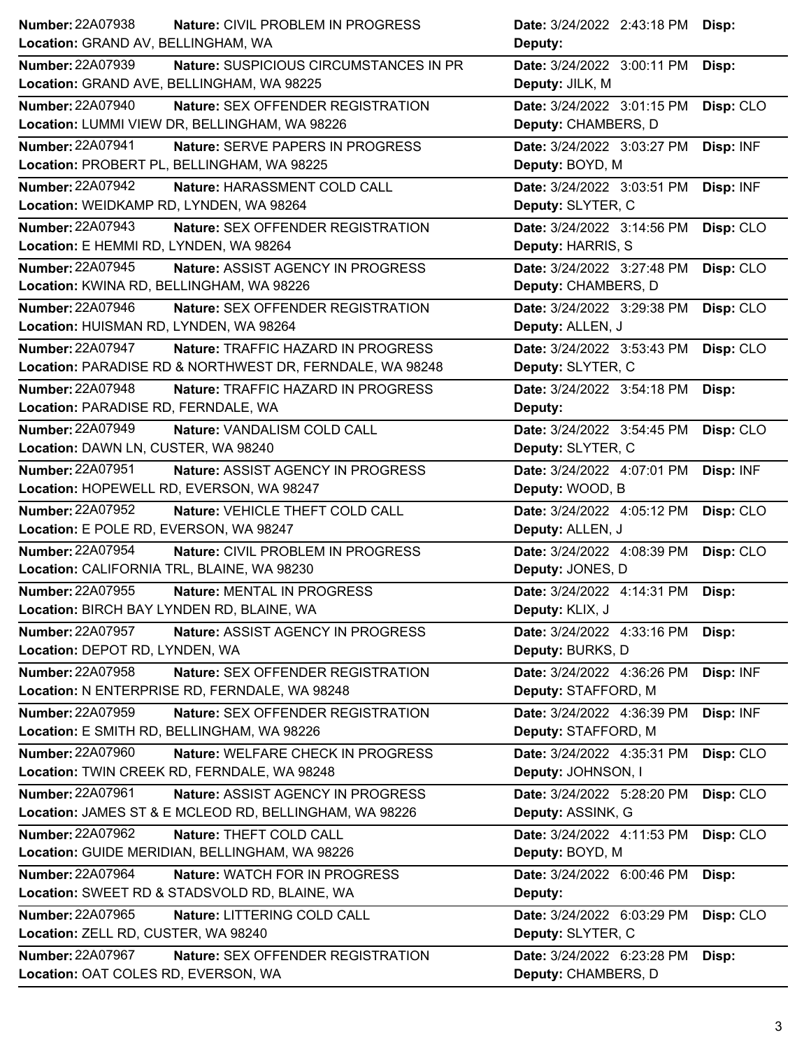| Location: GRAND AV, BELLINGHAM, WA<br>Deputy:<br><b>Number: 22A07939</b><br>Nature: SUSPICIOUS CIRCUMSTANCES IN PR<br>Date: 3/24/2022 3:00:11 PM<br>Disp:<br>Location: GRAND AVE, BELLINGHAM, WA 98225<br>Deputy: JILK, M<br><b>Number: 22A07940</b><br>Date: 3/24/2022 3:01:15 PM<br>Nature: SEX OFFENDER REGISTRATION<br>Disp: CLO<br>Location: LUMMI VIEW DR, BELLINGHAM, WA 98226<br>Deputy: CHAMBERS, D<br><b>Number: 22A07941</b><br>Disp: INF<br>Nature: SERVE PAPERS IN PROGRESS<br>Date: 3/24/2022 3:03:27 PM<br>Location: PROBERT PL, BELLINGHAM, WA 98225<br>Deputy: BOYD, M<br>Number: 22A07942<br>Nature: HARASSMENT COLD CALL<br>Date: 3/24/2022 3:03:51 PM<br>Disp: INF<br>Location: WEIDKAMP RD, LYNDEN, WA 98264<br>Deputy: SLYTER, C<br>Number: 22A07943<br>Date: 3/24/2022 3:14:56 PM<br>Disp: CLO<br>Nature: SEX OFFENDER REGISTRATION<br>Location: E HEMMI RD, LYNDEN, WA 98264<br>Deputy: HARRIS, S<br><b>Number: 22A07945</b><br>Nature: ASSIST AGENCY IN PROGRESS<br>Date: 3/24/2022 3:27:48 PM<br>Disp: CLO<br>Location: KWINA RD, BELLINGHAM, WA 98226<br>Deputy: CHAMBERS, D<br>Number: 22A07946<br>Nature: SEX OFFENDER REGISTRATION<br>Date: 3/24/2022 3:29:38 PM<br>Disp: CLO<br>Location: HUISMAN RD, LYNDEN, WA 98264<br>Deputy: ALLEN, J<br><b>Number: 22A07947</b><br>Nature: TRAFFIC HAZARD IN PROGRESS<br>Date: 3/24/2022 3:53:43 PM<br>Disp: CLO<br>Location: PARADISE RD & NORTHWEST DR, FERNDALE, WA 98248<br>Deputy: SLYTER, C<br>Number: 22A07948<br>Nature: TRAFFIC HAZARD IN PROGRESS<br>Date: 3/24/2022 3:54:18 PM<br>Disp:<br>Location: PARADISE RD, FERNDALE, WA<br>Deputy:<br><b>Number: 22A07949</b><br>Nature: VANDALISM COLD CALL<br>Date: 3/24/2022 3:54:45 PM<br>Disp: CLO<br>Location: DAWN LN, CUSTER, WA 98240<br>Deputy: SLYTER, C<br>Number: 22A07951<br>Nature: ASSIST AGENCY IN PROGRESS<br>Date: 3/24/2022 4:07:01 PM<br>Disp: INF<br>Location: HOPEWELL RD, EVERSON, WA 98247<br>Deputy: WOOD, B<br><b>Number: 22A07952</b><br>Nature: VEHICLE THEFT COLD CALL<br>Date: 3/24/2022 4:05:12 PM<br>Disp: CLO<br>Location: E POLE RD, EVERSON, WA 98247<br>Deputy: ALLEN, J<br><b>Number: 22A07954</b><br>Nature: CIVIL PROBLEM IN PROGRESS<br>Date: 3/24/2022 4:08:39 PM<br>Disp: CLO<br>Location: CALIFORNIA TRL, BLAINE, WA 98230<br>Deputy: JONES, D<br><b>Number: 22A07955</b><br>Nature: MENTAL IN PROGRESS<br>Date: 3/24/2022 4:14:31 PM<br>Disp:<br>Location: BIRCH BAY LYNDEN RD, BLAINE, WA<br>Deputy: KLIX, J<br>Number: 22A07957<br>Nature: ASSIST AGENCY IN PROGRESS<br>Date: 3/24/2022 4:33:16 PM<br>Disp:<br>Location: DEPOT RD, LYNDEN, WA<br>Deputy: BURKS, D<br>Number: 22A07958<br>Nature: SEX OFFENDER REGISTRATION<br>Date: 3/24/2022 4:36:26 PM<br>Disp: INF<br>Location: N ENTERPRISE RD, FERNDALE, WA 98248<br>Deputy: STAFFORD, M<br>Number: 22A07959<br><b>Nature: SEX OFFENDER REGISTRATION</b><br>Date: 3/24/2022 4:36:39 PM<br>Disp: INF<br>Location: E SMITH RD, BELLINGHAM, WA 98226<br>Deputy: STAFFORD, M<br><b>Number: 22A07960</b><br>Nature: WELFARE CHECK IN PROGRESS<br>Date: 3/24/2022 4:35:31 PM |
|---------------------------------------------------------------------------------------------------------------------------------------------------------------------------------------------------------------------------------------------------------------------------------------------------------------------------------------------------------------------------------------------------------------------------------------------------------------------------------------------------------------------------------------------------------------------------------------------------------------------------------------------------------------------------------------------------------------------------------------------------------------------------------------------------------------------------------------------------------------------------------------------------------------------------------------------------------------------------------------------------------------------------------------------------------------------------------------------------------------------------------------------------------------------------------------------------------------------------------------------------------------------------------------------------------------------------------------------------------------------------------------------------------------------------------------------------------------------------------------------------------------------------------------------------------------------------------------------------------------------------------------------------------------------------------------------------------------------------------------------------------------------------------------------------------------------------------------------------------------------------------------------------------------------------------------------------------------------------------------------------------------------------------------------------------------------------------------------------------------------------------------------------------------------------------------------------------------------------------------------------------------------------------------------------------------------------------------------------------------------------------------------------------------------------------------------------------------------------------------------------------------------------------------------------------------------------------------------------------------------------------------------------------------------------------------------------------------------------------------------------------------------------------------------------------------------------------------------------------------------------------------------------------------------------------------------------------------------------------------------------------------------------------------------------------------------------------------------------|
|                                                                                                                                                                                                                                                                                                                                                                                                                                                                                                                                                                                                                                                                                                                                                                                                                                                                                                                                                                                                                                                                                                                                                                                                                                                                                                                                                                                                                                                                                                                                                                                                                                                                                                                                                                                                                                                                                                                                                                                                                                                                                                                                                                                                                                                                                                                                                                                                                                                                                                                                                                                                                                                                                                                                                                                                                                                                                                                                                                                                                                                                                                   |
|                                                                                                                                                                                                                                                                                                                                                                                                                                                                                                                                                                                                                                                                                                                                                                                                                                                                                                                                                                                                                                                                                                                                                                                                                                                                                                                                                                                                                                                                                                                                                                                                                                                                                                                                                                                                                                                                                                                                                                                                                                                                                                                                                                                                                                                                                                                                                                                                                                                                                                                                                                                                                                                                                                                                                                                                                                                                                                                                                                                                                                                                                                   |
|                                                                                                                                                                                                                                                                                                                                                                                                                                                                                                                                                                                                                                                                                                                                                                                                                                                                                                                                                                                                                                                                                                                                                                                                                                                                                                                                                                                                                                                                                                                                                                                                                                                                                                                                                                                                                                                                                                                                                                                                                                                                                                                                                                                                                                                                                                                                                                                                                                                                                                                                                                                                                                                                                                                                                                                                                                                                                                                                                                                                                                                                                                   |
|                                                                                                                                                                                                                                                                                                                                                                                                                                                                                                                                                                                                                                                                                                                                                                                                                                                                                                                                                                                                                                                                                                                                                                                                                                                                                                                                                                                                                                                                                                                                                                                                                                                                                                                                                                                                                                                                                                                                                                                                                                                                                                                                                                                                                                                                                                                                                                                                                                                                                                                                                                                                                                                                                                                                                                                                                                                                                                                                                                                                                                                                                                   |
|                                                                                                                                                                                                                                                                                                                                                                                                                                                                                                                                                                                                                                                                                                                                                                                                                                                                                                                                                                                                                                                                                                                                                                                                                                                                                                                                                                                                                                                                                                                                                                                                                                                                                                                                                                                                                                                                                                                                                                                                                                                                                                                                                                                                                                                                                                                                                                                                                                                                                                                                                                                                                                                                                                                                                                                                                                                                                                                                                                                                                                                                                                   |
|                                                                                                                                                                                                                                                                                                                                                                                                                                                                                                                                                                                                                                                                                                                                                                                                                                                                                                                                                                                                                                                                                                                                                                                                                                                                                                                                                                                                                                                                                                                                                                                                                                                                                                                                                                                                                                                                                                                                                                                                                                                                                                                                                                                                                                                                                                                                                                                                                                                                                                                                                                                                                                                                                                                                                                                                                                                                                                                                                                                                                                                                                                   |
|                                                                                                                                                                                                                                                                                                                                                                                                                                                                                                                                                                                                                                                                                                                                                                                                                                                                                                                                                                                                                                                                                                                                                                                                                                                                                                                                                                                                                                                                                                                                                                                                                                                                                                                                                                                                                                                                                                                                                                                                                                                                                                                                                                                                                                                                                                                                                                                                                                                                                                                                                                                                                                                                                                                                                                                                                                                                                                                                                                                                                                                                                                   |
|                                                                                                                                                                                                                                                                                                                                                                                                                                                                                                                                                                                                                                                                                                                                                                                                                                                                                                                                                                                                                                                                                                                                                                                                                                                                                                                                                                                                                                                                                                                                                                                                                                                                                                                                                                                                                                                                                                                                                                                                                                                                                                                                                                                                                                                                                                                                                                                                                                                                                                                                                                                                                                                                                                                                                                                                                                                                                                                                                                                                                                                                                                   |
|                                                                                                                                                                                                                                                                                                                                                                                                                                                                                                                                                                                                                                                                                                                                                                                                                                                                                                                                                                                                                                                                                                                                                                                                                                                                                                                                                                                                                                                                                                                                                                                                                                                                                                                                                                                                                                                                                                                                                                                                                                                                                                                                                                                                                                                                                                                                                                                                                                                                                                                                                                                                                                                                                                                                                                                                                                                                                                                                                                                                                                                                                                   |
|                                                                                                                                                                                                                                                                                                                                                                                                                                                                                                                                                                                                                                                                                                                                                                                                                                                                                                                                                                                                                                                                                                                                                                                                                                                                                                                                                                                                                                                                                                                                                                                                                                                                                                                                                                                                                                                                                                                                                                                                                                                                                                                                                                                                                                                                                                                                                                                                                                                                                                                                                                                                                                                                                                                                                                                                                                                                                                                                                                                                                                                                                                   |
|                                                                                                                                                                                                                                                                                                                                                                                                                                                                                                                                                                                                                                                                                                                                                                                                                                                                                                                                                                                                                                                                                                                                                                                                                                                                                                                                                                                                                                                                                                                                                                                                                                                                                                                                                                                                                                                                                                                                                                                                                                                                                                                                                                                                                                                                                                                                                                                                                                                                                                                                                                                                                                                                                                                                                                                                                                                                                                                                                                                                                                                                                                   |
|                                                                                                                                                                                                                                                                                                                                                                                                                                                                                                                                                                                                                                                                                                                                                                                                                                                                                                                                                                                                                                                                                                                                                                                                                                                                                                                                                                                                                                                                                                                                                                                                                                                                                                                                                                                                                                                                                                                                                                                                                                                                                                                                                                                                                                                                                                                                                                                                                                                                                                                                                                                                                                                                                                                                                                                                                                                                                                                                                                                                                                                                                                   |
|                                                                                                                                                                                                                                                                                                                                                                                                                                                                                                                                                                                                                                                                                                                                                                                                                                                                                                                                                                                                                                                                                                                                                                                                                                                                                                                                                                                                                                                                                                                                                                                                                                                                                                                                                                                                                                                                                                                                                                                                                                                                                                                                                                                                                                                                                                                                                                                                                                                                                                                                                                                                                                                                                                                                                                                                                                                                                                                                                                                                                                                                                                   |
|                                                                                                                                                                                                                                                                                                                                                                                                                                                                                                                                                                                                                                                                                                                                                                                                                                                                                                                                                                                                                                                                                                                                                                                                                                                                                                                                                                                                                                                                                                                                                                                                                                                                                                                                                                                                                                                                                                                                                                                                                                                                                                                                                                                                                                                                                                                                                                                                                                                                                                                                                                                                                                                                                                                                                                                                                                                                                                                                                                                                                                                                                                   |
|                                                                                                                                                                                                                                                                                                                                                                                                                                                                                                                                                                                                                                                                                                                                                                                                                                                                                                                                                                                                                                                                                                                                                                                                                                                                                                                                                                                                                                                                                                                                                                                                                                                                                                                                                                                                                                                                                                                                                                                                                                                                                                                                                                                                                                                                                                                                                                                                                                                                                                                                                                                                                                                                                                                                                                                                                                                                                                                                                                                                                                                                                                   |
|                                                                                                                                                                                                                                                                                                                                                                                                                                                                                                                                                                                                                                                                                                                                                                                                                                                                                                                                                                                                                                                                                                                                                                                                                                                                                                                                                                                                                                                                                                                                                                                                                                                                                                                                                                                                                                                                                                                                                                                                                                                                                                                                                                                                                                                                                                                                                                                                                                                                                                                                                                                                                                                                                                                                                                                                                                                                                                                                                                                                                                                                                                   |
|                                                                                                                                                                                                                                                                                                                                                                                                                                                                                                                                                                                                                                                                                                                                                                                                                                                                                                                                                                                                                                                                                                                                                                                                                                                                                                                                                                                                                                                                                                                                                                                                                                                                                                                                                                                                                                                                                                                                                                                                                                                                                                                                                                                                                                                                                                                                                                                                                                                                                                                                                                                                                                                                                                                                                                                                                                                                                                                                                                                                                                                                                                   |
|                                                                                                                                                                                                                                                                                                                                                                                                                                                                                                                                                                                                                                                                                                                                                                                                                                                                                                                                                                                                                                                                                                                                                                                                                                                                                                                                                                                                                                                                                                                                                                                                                                                                                                                                                                                                                                                                                                                                                                                                                                                                                                                                                                                                                                                                                                                                                                                                                                                                                                                                                                                                                                                                                                                                                                                                                                                                                                                                                                                                                                                                                                   |
|                                                                                                                                                                                                                                                                                                                                                                                                                                                                                                                                                                                                                                                                                                                                                                                                                                                                                                                                                                                                                                                                                                                                                                                                                                                                                                                                                                                                                                                                                                                                                                                                                                                                                                                                                                                                                                                                                                                                                                                                                                                                                                                                                                                                                                                                                                                                                                                                                                                                                                                                                                                                                                                                                                                                                                                                                                                                                                                                                                                                                                                                                                   |
|                                                                                                                                                                                                                                                                                                                                                                                                                                                                                                                                                                                                                                                                                                                                                                                                                                                                                                                                                                                                                                                                                                                                                                                                                                                                                                                                                                                                                                                                                                                                                                                                                                                                                                                                                                                                                                                                                                                                                                                                                                                                                                                                                                                                                                                                                                                                                                                                                                                                                                                                                                                                                                                                                                                                                                                                                                                                                                                                                                                                                                                                                                   |
|                                                                                                                                                                                                                                                                                                                                                                                                                                                                                                                                                                                                                                                                                                                                                                                                                                                                                                                                                                                                                                                                                                                                                                                                                                                                                                                                                                                                                                                                                                                                                                                                                                                                                                                                                                                                                                                                                                                                                                                                                                                                                                                                                                                                                                                                                                                                                                                                                                                                                                                                                                                                                                                                                                                                                                                                                                                                                                                                                                                                                                                                                                   |
|                                                                                                                                                                                                                                                                                                                                                                                                                                                                                                                                                                                                                                                                                                                                                                                                                                                                                                                                                                                                                                                                                                                                                                                                                                                                                                                                                                                                                                                                                                                                                                                                                                                                                                                                                                                                                                                                                                                                                                                                                                                                                                                                                                                                                                                                                                                                                                                                                                                                                                                                                                                                                                                                                                                                                                                                                                                                                                                                                                                                                                                                                                   |
|                                                                                                                                                                                                                                                                                                                                                                                                                                                                                                                                                                                                                                                                                                                                                                                                                                                                                                                                                                                                                                                                                                                                                                                                                                                                                                                                                                                                                                                                                                                                                                                                                                                                                                                                                                                                                                                                                                                                                                                                                                                                                                                                                                                                                                                                                                                                                                                                                                                                                                                                                                                                                                                                                                                                                                                                                                                                                                                                                                                                                                                                                                   |
|                                                                                                                                                                                                                                                                                                                                                                                                                                                                                                                                                                                                                                                                                                                                                                                                                                                                                                                                                                                                                                                                                                                                                                                                                                                                                                                                                                                                                                                                                                                                                                                                                                                                                                                                                                                                                                                                                                                                                                                                                                                                                                                                                                                                                                                                                                                                                                                                                                                                                                                                                                                                                                                                                                                                                                                                                                                                                                                                                                                                                                                                                                   |
|                                                                                                                                                                                                                                                                                                                                                                                                                                                                                                                                                                                                                                                                                                                                                                                                                                                                                                                                                                                                                                                                                                                                                                                                                                                                                                                                                                                                                                                                                                                                                                                                                                                                                                                                                                                                                                                                                                                                                                                                                                                                                                                                                                                                                                                                                                                                                                                                                                                                                                                                                                                                                                                                                                                                                                                                                                                                                                                                                                                                                                                                                                   |
|                                                                                                                                                                                                                                                                                                                                                                                                                                                                                                                                                                                                                                                                                                                                                                                                                                                                                                                                                                                                                                                                                                                                                                                                                                                                                                                                                                                                                                                                                                                                                                                                                                                                                                                                                                                                                                                                                                                                                                                                                                                                                                                                                                                                                                                                                                                                                                                                                                                                                                                                                                                                                                                                                                                                                                                                                                                                                                                                                                                                                                                                                                   |
|                                                                                                                                                                                                                                                                                                                                                                                                                                                                                                                                                                                                                                                                                                                                                                                                                                                                                                                                                                                                                                                                                                                                                                                                                                                                                                                                                                                                                                                                                                                                                                                                                                                                                                                                                                                                                                                                                                                                                                                                                                                                                                                                                                                                                                                                                                                                                                                                                                                                                                                                                                                                                                                                                                                                                                                                                                                                                                                                                                                                                                                                                                   |
|                                                                                                                                                                                                                                                                                                                                                                                                                                                                                                                                                                                                                                                                                                                                                                                                                                                                                                                                                                                                                                                                                                                                                                                                                                                                                                                                                                                                                                                                                                                                                                                                                                                                                                                                                                                                                                                                                                                                                                                                                                                                                                                                                                                                                                                                                                                                                                                                                                                                                                                                                                                                                                                                                                                                                                                                                                                                                                                                                                                                                                                                                                   |
|                                                                                                                                                                                                                                                                                                                                                                                                                                                                                                                                                                                                                                                                                                                                                                                                                                                                                                                                                                                                                                                                                                                                                                                                                                                                                                                                                                                                                                                                                                                                                                                                                                                                                                                                                                                                                                                                                                                                                                                                                                                                                                                                                                                                                                                                                                                                                                                                                                                                                                                                                                                                                                                                                                                                                                                                                                                                                                                                                                                                                                                                                                   |
|                                                                                                                                                                                                                                                                                                                                                                                                                                                                                                                                                                                                                                                                                                                                                                                                                                                                                                                                                                                                                                                                                                                                                                                                                                                                                                                                                                                                                                                                                                                                                                                                                                                                                                                                                                                                                                                                                                                                                                                                                                                                                                                                                                                                                                                                                                                                                                                                                                                                                                                                                                                                                                                                                                                                                                                                                                                                                                                                                                                                                                                                                                   |
|                                                                                                                                                                                                                                                                                                                                                                                                                                                                                                                                                                                                                                                                                                                                                                                                                                                                                                                                                                                                                                                                                                                                                                                                                                                                                                                                                                                                                                                                                                                                                                                                                                                                                                                                                                                                                                                                                                                                                                                                                                                                                                                                                                                                                                                                                                                                                                                                                                                                                                                                                                                                                                                                                                                                                                                                                                                                                                                                                                                                                                                                                                   |
|                                                                                                                                                                                                                                                                                                                                                                                                                                                                                                                                                                                                                                                                                                                                                                                                                                                                                                                                                                                                                                                                                                                                                                                                                                                                                                                                                                                                                                                                                                                                                                                                                                                                                                                                                                                                                                                                                                                                                                                                                                                                                                                                                                                                                                                                                                                                                                                                                                                                                                                                                                                                                                                                                                                                                                                                                                                                                                                                                                                                                                                                                                   |
|                                                                                                                                                                                                                                                                                                                                                                                                                                                                                                                                                                                                                                                                                                                                                                                                                                                                                                                                                                                                                                                                                                                                                                                                                                                                                                                                                                                                                                                                                                                                                                                                                                                                                                                                                                                                                                                                                                                                                                                                                                                                                                                                                                                                                                                                                                                                                                                                                                                                                                                                                                                                                                                                                                                                                                                                                                                                                                                                                                                                                                                                                                   |
|                                                                                                                                                                                                                                                                                                                                                                                                                                                                                                                                                                                                                                                                                                                                                                                                                                                                                                                                                                                                                                                                                                                                                                                                                                                                                                                                                                                                                                                                                                                                                                                                                                                                                                                                                                                                                                                                                                                                                                                                                                                                                                                                                                                                                                                                                                                                                                                                                                                                                                                                                                                                                                                                                                                                                                                                                                                                                                                                                                                                                                                                                                   |
|                                                                                                                                                                                                                                                                                                                                                                                                                                                                                                                                                                                                                                                                                                                                                                                                                                                                                                                                                                                                                                                                                                                                                                                                                                                                                                                                                                                                                                                                                                                                                                                                                                                                                                                                                                                                                                                                                                                                                                                                                                                                                                                                                                                                                                                                                                                                                                                                                                                                                                                                                                                                                                                                                                                                                                                                                                                                                                                                                                                                                                                                                                   |
| Disp: CLO                                                                                                                                                                                                                                                                                                                                                                                                                                                                                                                                                                                                                                                                                                                                                                                                                                                                                                                                                                                                                                                                                                                                                                                                                                                                                                                                                                                                                                                                                                                                                                                                                                                                                                                                                                                                                                                                                                                                                                                                                                                                                                                                                                                                                                                                                                                                                                                                                                                                                                                                                                                                                                                                                                                                                                                                                                                                                                                                                                                                                                                                                         |
| Location: TWIN CREEK RD, FERNDALE, WA 98248<br>Deputy: JOHNSON, I                                                                                                                                                                                                                                                                                                                                                                                                                                                                                                                                                                                                                                                                                                                                                                                                                                                                                                                                                                                                                                                                                                                                                                                                                                                                                                                                                                                                                                                                                                                                                                                                                                                                                                                                                                                                                                                                                                                                                                                                                                                                                                                                                                                                                                                                                                                                                                                                                                                                                                                                                                                                                                                                                                                                                                                                                                                                                                                                                                                                                                 |
| Number: 22A07961<br>Nature: ASSIST AGENCY IN PROGRESS<br>Date: 3/24/2022 5:28:20 PM<br>Disp: CLO                                                                                                                                                                                                                                                                                                                                                                                                                                                                                                                                                                                                                                                                                                                                                                                                                                                                                                                                                                                                                                                                                                                                                                                                                                                                                                                                                                                                                                                                                                                                                                                                                                                                                                                                                                                                                                                                                                                                                                                                                                                                                                                                                                                                                                                                                                                                                                                                                                                                                                                                                                                                                                                                                                                                                                                                                                                                                                                                                                                                  |
| Location: JAMES ST & E MCLEOD RD, BELLINGHAM, WA 98226<br>Deputy: ASSINK, G                                                                                                                                                                                                                                                                                                                                                                                                                                                                                                                                                                                                                                                                                                                                                                                                                                                                                                                                                                                                                                                                                                                                                                                                                                                                                                                                                                                                                                                                                                                                                                                                                                                                                                                                                                                                                                                                                                                                                                                                                                                                                                                                                                                                                                                                                                                                                                                                                                                                                                                                                                                                                                                                                                                                                                                                                                                                                                                                                                                                                       |
| Number: 22A07962<br>Nature: THEFT COLD CALL<br>Date: 3/24/2022 4:11:53 PM<br>Disp: CLO                                                                                                                                                                                                                                                                                                                                                                                                                                                                                                                                                                                                                                                                                                                                                                                                                                                                                                                                                                                                                                                                                                                                                                                                                                                                                                                                                                                                                                                                                                                                                                                                                                                                                                                                                                                                                                                                                                                                                                                                                                                                                                                                                                                                                                                                                                                                                                                                                                                                                                                                                                                                                                                                                                                                                                                                                                                                                                                                                                                                            |
|                                                                                                                                                                                                                                                                                                                                                                                                                                                                                                                                                                                                                                                                                                                                                                                                                                                                                                                                                                                                                                                                                                                                                                                                                                                                                                                                                                                                                                                                                                                                                                                                                                                                                                                                                                                                                                                                                                                                                                                                                                                                                                                                                                                                                                                                                                                                                                                                                                                                                                                                                                                                                                                                                                                                                                                                                                                                                                                                                                                                                                                                                                   |
| Location: GUIDE MERIDIAN, BELLINGHAM, WA 98226<br>Deputy: BOYD, M                                                                                                                                                                                                                                                                                                                                                                                                                                                                                                                                                                                                                                                                                                                                                                                                                                                                                                                                                                                                                                                                                                                                                                                                                                                                                                                                                                                                                                                                                                                                                                                                                                                                                                                                                                                                                                                                                                                                                                                                                                                                                                                                                                                                                                                                                                                                                                                                                                                                                                                                                                                                                                                                                                                                                                                                                                                                                                                                                                                                                                 |
| <b>Number: 22A07964</b><br>Nature: WATCH FOR IN PROGRESS<br>Date: 3/24/2022 6:00:46 PM                                                                                                                                                                                                                                                                                                                                                                                                                                                                                                                                                                                                                                                                                                                                                                                                                                                                                                                                                                                                                                                                                                                                                                                                                                                                                                                                                                                                                                                                                                                                                                                                                                                                                                                                                                                                                                                                                                                                                                                                                                                                                                                                                                                                                                                                                                                                                                                                                                                                                                                                                                                                                                                                                                                                                                                                                                                                                                                                                                                                            |
| Disp:<br>Location: SWEET RD & STADSVOLD RD, BLAINE, WA<br>Deputy:                                                                                                                                                                                                                                                                                                                                                                                                                                                                                                                                                                                                                                                                                                                                                                                                                                                                                                                                                                                                                                                                                                                                                                                                                                                                                                                                                                                                                                                                                                                                                                                                                                                                                                                                                                                                                                                                                                                                                                                                                                                                                                                                                                                                                                                                                                                                                                                                                                                                                                                                                                                                                                                                                                                                                                                                                                                                                                                                                                                                                                 |
| <b>Number: 22A07965</b><br>Nature: LITTERING COLD CALL<br>Date: 3/24/2022 6:03:29 PM                                                                                                                                                                                                                                                                                                                                                                                                                                                                                                                                                                                                                                                                                                                                                                                                                                                                                                                                                                                                                                                                                                                                                                                                                                                                                                                                                                                                                                                                                                                                                                                                                                                                                                                                                                                                                                                                                                                                                                                                                                                                                                                                                                                                                                                                                                                                                                                                                                                                                                                                                                                                                                                                                                                                                                                                                                                                                                                                                                                                              |
| Disp: CLO<br>Location: ZELL RD, CUSTER, WA 98240<br>Deputy: SLYTER, C                                                                                                                                                                                                                                                                                                                                                                                                                                                                                                                                                                                                                                                                                                                                                                                                                                                                                                                                                                                                                                                                                                                                                                                                                                                                                                                                                                                                                                                                                                                                                                                                                                                                                                                                                                                                                                                                                                                                                                                                                                                                                                                                                                                                                                                                                                                                                                                                                                                                                                                                                                                                                                                                                                                                                                                                                                                                                                                                                                                                                             |
| Number: 22A07967<br>Nature: SEX OFFENDER REGISTRATION<br>Date: 3/24/2022 6:23:28 PM<br>Disp:                                                                                                                                                                                                                                                                                                                                                                                                                                                                                                                                                                                                                                                                                                                                                                                                                                                                                                                                                                                                                                                                                                                                                                                                                                                                                                                                                                                                                                                                                                                                                                                                                                                                                                                                                                                                                                                                                                                                                                                                                                                                                                                                                                                                                                                                                                                                                                                                                                                                                                                                                                                                                                                                                                                                                                                                                                                                                                                                                                                                      |